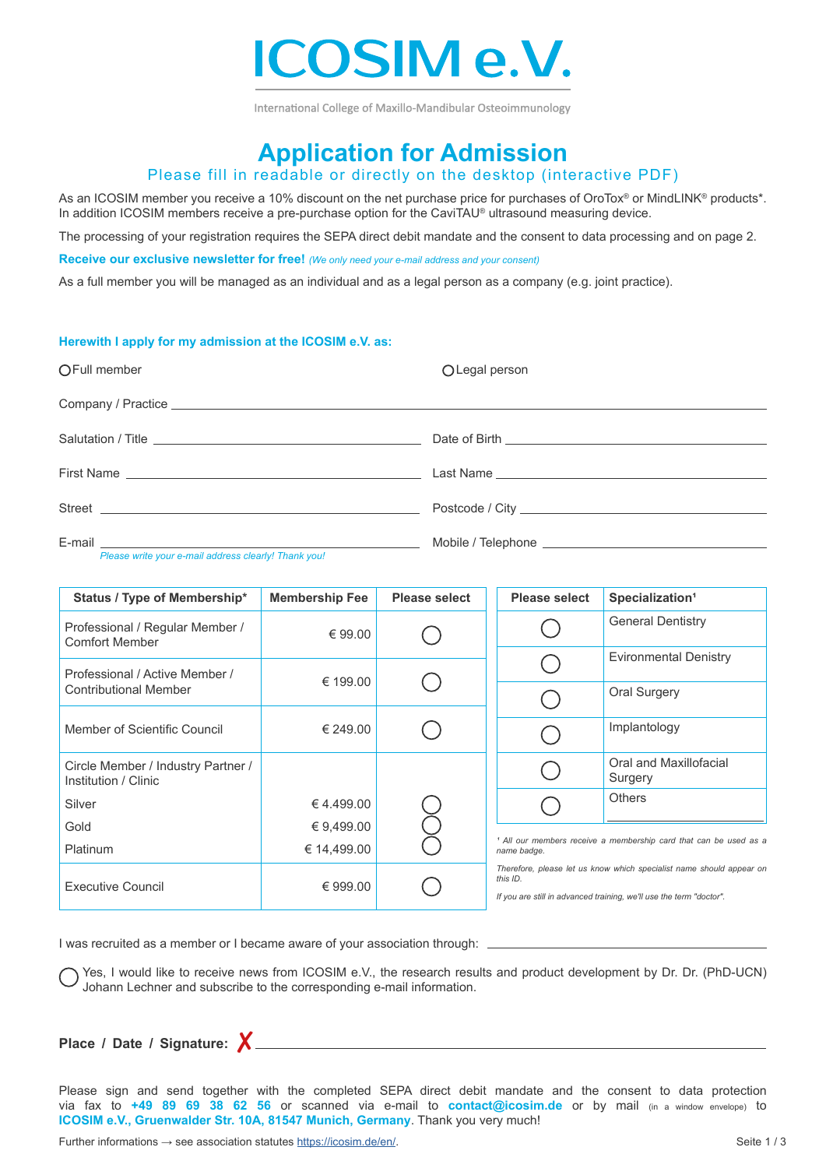

International College of Maxillo-Mandibular Osteoimmunology

# **Application for Admission**

## Please fill in readable or directly on the desktop (interactive PDF)

As an ICOSIM member you receive a 10% discount on the net purchase price for purchases of OroTox® or MindLINK® products\*. In addition ICOSIM members receive a pre-purchase option for the CaviTAU® ultrasound measuring device.

The processing of your registration requires the SEPA direct debit mandate and the consent to data processing and on page 2.

**Receive our exclusive newsletter for free!** *(We only need your e-mail address and your consent)*

As a full member you will be managed as an individual and as a legal person as a company (e.g. joint practice).

#### **Herewith I apply for my admission at the ICOSIM e.V. as:**

| OFull member | O Legal person |
|--------------|----------------|
|              |                |
|              |                |
|              |                |
|              |                |
|              |                |

*Please write your e-mail address clearly! Thank you!*

| Status / Type of Membership*                               | <b>Membership Fee</b> | <b>Please select</b> | <b>Please select</b> | Specialization <sup>1</sup>                                                                                                                 |
|------------------------------------------------------------|-----------------------|----------------------|----------------------|---------------------------------------------------------------------------------------------------------------------------------------------|
| Professional / Regular Member /<br><b>Comfort Member</b>   | € 99.00               |                      |                      | <b>General Dentistry</b>                                                                                                                    |
| Professional / Active Member /                             | € 199.00              |                      |                      | <b>Evironmental Denistry</b>                                                                                                                |
| <b>Contributional Member</b>                               |                       |                      |                      | Oral Surgery                                                                                                                                |
| Member of Scientific Council                               | € 249.00              |                      |                      | Implantology                                                                                                                                |
| Circle Member / Industry Partner /<br>Institution / Clinic |                       |                      |                      | Oral and Maxillofacial<br>Surgery                                                                                                           |
| Silver                                                     | € 4.499.00            |                      |                      | <b>Others</b>                                                                                                                               |
| Gold                                                       | € 9,499.00            |                      |                      |                                                                                                                                             |
| Platinum                                                   | € 14,499.00           |                      | name badge.          | <sup>1</sup> All our members receive a membership card that can be used as a                                                                |
| <b>Executive Council</b>                                   | € 999.00              |                      | this ID.             | Therefore, please let us know which specialist name should appear on<br>If you are still in advanced training, we'll use the term "doctor". |

I was recruited as a member or I became aware of your association through:

Yes, I would like to receive news from ICOSIM e.V., the research results and product development by Dr. Dr. (PhD-UCN) Johann Lechner and subscribe to the corresponding e-mail information.

Place / Date / Signature:  $X_{-}$ 

Please sign and send together with the completed SEPA direct debit mandate and the consent to data protection via fax to **+49 89 69 38 62 56** or scanned via e-mail to **contact@icosim.de** or by mail (in a window envelope) to **ICOSIM e.V., Gruenwalder Str. 10A, 81547 Munich, Germany**. Thank you very much!

Further informations → see association statutes [https://icosim.de/](https://icosim.de/en/)en/.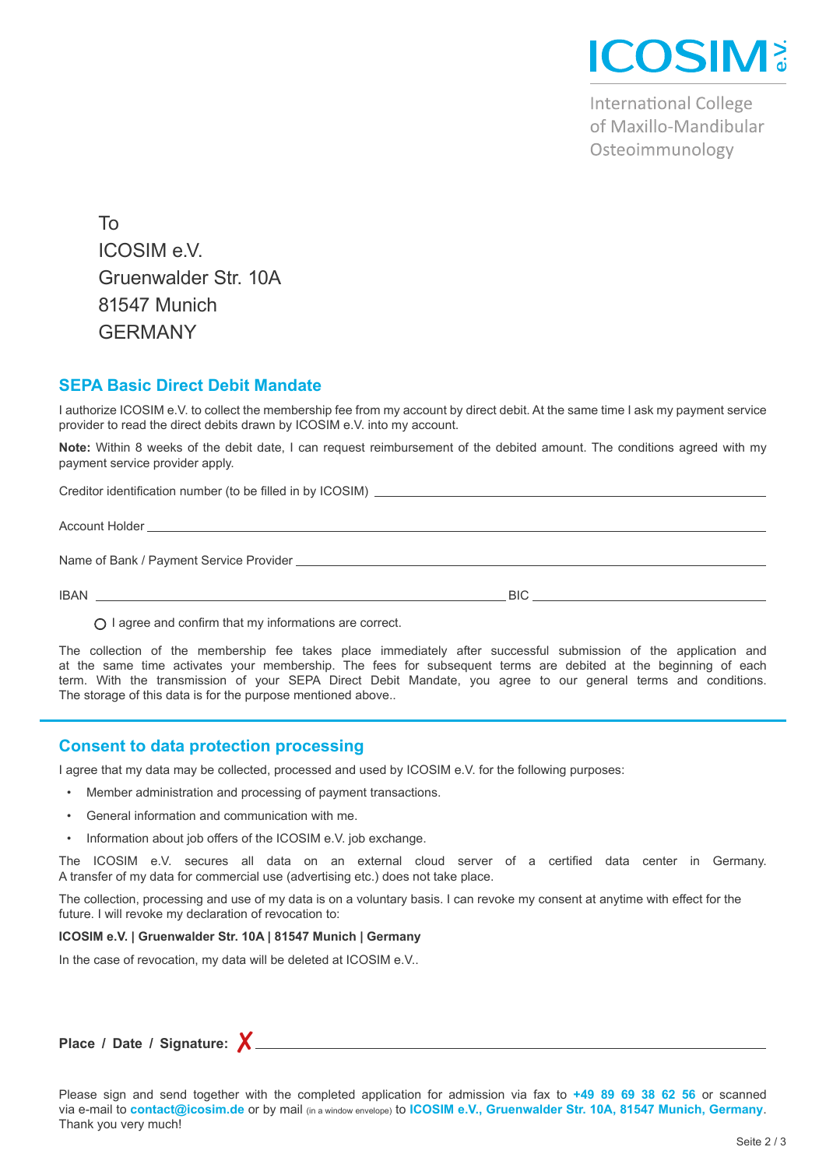

**International College** of Maxillo-Mandibular Osteoimmunology

To ICOSIM e.V. Gruenwalder Str. 10A 81547 Munich GERMANY

### **SEPA Basic Direct Debit Mandate**

I authorize ICOSIM e.V. to collect the membership fee from my account by direct debit. At the same time I ask my payment service provider to read the direct debits drawn by ICOSIM e.V. into my account.

**Note:** Within 8 weeks of the debit date, I can request reimbursement of the debited amount. The conditions agreed with my payment service provider apply.

| Name of Bank / Payment Service Provider Letter and the state of the state of the state of the state of the state of the state of the state of the state of the state of the state of the state of the state of the state of th |      |
|--------------------------------------------------------------------------------------------------------------------------------------------------------------------------------------------------------------------------------|------|
| <b>IBAN</b>                                                                                                                                                                                                                    | BIC. |

 $\bigcap$  I agree and confirm that my informations are correct.

The collection of the membership fee takes place immediately after successful submission of the application and at the same time activates your membership. The fees for subsequent terms are debited at the beginning of each term. With the transmission of your SEPA Direct Debit Mandate, you agree to our general terms and conditions. The storage of this data is for the purpose mentioned above..

### **Consent to data protection processing**

I agree that my data may be collected, processed and used by ICOSIM e.V. for the following purposes:

- Member administration and processing of payment transactions.
- General information and communication with me.
- Information about job offers of the ICOSIM e.V. job exchange.

The ICOSIM e.V. secures all data on an external cloud server of a certified data center in Germany. A transfer of my data for commercial use (advertising etc.) does not take place.

The collection, processing and use of my data is on a voluntary basis. I can revoke my consent at anytime with effect for the future. I will revoke my declaration of revocation to:

#### **ICOSIM e.V. | Gruenwalder Str. 10A | 81547 Munich | Germany**

In the case of revocation, my data will be deleted at ICOSIM e.V..

## **Place / Date / Signature:** ✘

Please sign and send together with the completed application for admission via fax to **+49 89 69 38 62 56** or scanned via e-mail to **contact@icosim.de** or by mail (in a window envelope) to **ICOSIM e.V., Gruenwalder Str. 10A, 81547 Munich, Germany**. Thank you very much!